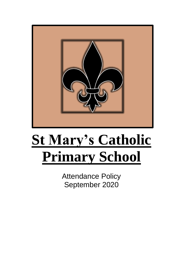

# **St Mary's Catholic Primary School**

Attendance Policy September 2020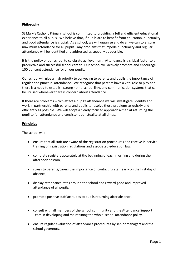## **Philosophy**

St Mary's Catholic Primary school is committed to providing a full and efficient educational experience to all pupils. We believe that, if pupils are to benefit from education, punctuality and good attendance is crucial. As a school, we will organise and do all we can to ensure maximum attendance for all pupils. Any problems that impede punctuality and regular attendance will be identified and addressed as speedily as possible.

It is the policy of our school to celebrate achievement. Attendance is a critical factor to a productive and successful school career. Our school will actively promote and encourage 100 per cent attendance for all our pupils.

Our school will give a high priority to conveying to parents and pupils the importance of regular and punctual attendance. We recognise that parents have a vital role to play and there is a need to establish strong home-school links and communication systems that can be utilised whenever there is concern about attendance.

If there are problems which affect a pupil's attendance we will investigate, identify and work in partnership with parents and pupils to resolve those problems as quickly and efficiently as possible. We will adopt a clearly focused approach aimed at returning the pupil to full attendance and consistent punctuality at all times.

## **Principles**

The school will:

- ensure that all staff are aware of the registration procedures and receive in-service training on registration regulations and associated education law,
- complete registers accurately at the beginning of each morning and during the afternoon session,
- stress to parents/carers the importance of contacting staff early on the first day of absence,
- display attendance rates around the school and reward good and improved attendance of all pupils,
- promote positive staff attitudes to pupils returning after absence,
- consult with all members of the school community and the Attendance Support Team in developing and maintaining the whole-school attendance policy,
- ensure regular evaluation of attendance procedures by senior managers and the school governors,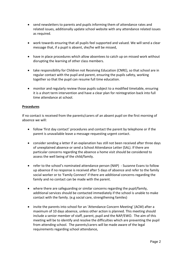- send newsletters to parents and pupils informing them of attendance rates and related issues, additionally update school website with any attendance related issues as required.
- work towards ensuring that all pupils feel supported and valued. We will send a clear message that, if a pupil is absent, she/he will be missed,
- have in place procedures which allow absentees to catch up on missed work without disrupting the learning of other class members.
- take responsibility for Children not Receiving Education (CNRE), so that school are in regular contact with the pupil and parent, ensuring the pupils safety, working together so that the pupil can resume full time education.
- monitor and regularly review those pupils subject to a modified timetable, ensuring it is a short term intervention and have a clear plan for reintegration back into full time attendance at school.

#### **Procedures**

If no contact is received from the parents/carers of an absent pupil on the first morning of absence we will:

- follow 'first day contact' procedures and contact the parent by telephone or if the parent is unavailable leave a message requesting urgent contact.
- consider sending a letter if an explanation has still not been received after three days of unexplained absence or send a School Attendance Letter (SAL). If there are particular concerns regarding the absence a home visit should be considered to assess the well being of the child/family.
- refer to the school's nominated attendance person (NAP) Suzanne Evans to follow up absence if no response is received after 5 days of absence and refer to the family social worker or to 'Family Connect' if there are additional concerns regarding the family and no contact can be made with the parent.
- where there are safeguarding or similar concerns regarding the pupil/family, additional services should be contacted immediately if the school is unable to make contact with the family. (e.g social care, strengthening familes)
- invite the parents into school for an 'Attendance Concern Meeting' (ACM) after a maximum of 10 days absence, unless other action is planned. This meeting should include a senior member of staff, parent, pupil and the NAP/EWO. The aim of this meeting will be to identify and resolve the difficulties which are preventing the pupil from attending school. The parents/carers will be made aware of the legal requirements regarding school attendance,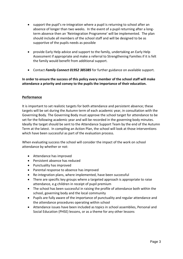- support the pupil's re-integration where a pupil is returning to school after an absence of longer than two weeks. In the event of a pupil returning after a longterm absence then an 'Reintegration Programme' will be implemented. The plan should include all members of the school staff and will be designed to be as supportive of the pupils needs as possible
- provide Early Help advice and support to the family, undertaking an Early Help Assessment if appropriate and make a referral to Strengthening Families if it is felt the family would benefit from additional support.
- Contact *Family Connect 01952 385385* for further guidance on available support.

# **In order to ensure the success of this policy every member of the school staff will make attendance a priority and convey to the pupils the importance of their education.**

## **Performance**

It is important to set realistic targets for both attendance and persistent absence; these targets will be set during the Autumn term of each academic year, in consultation with the Governing Body. The Governing Body must approve the school target for attendance to be set for the following academic year and will be recorded in the governing body minutes. Ideally the target should be sent to the Attendance Support Team by the end of the Autumn Term at the latest. In compiling an Action Plan, the school will look at those interventions which have been successful as part of the evaluation process.

When evaluating success the school will consider the impact of the work on school attendance by whether or not:

- Attendance has improved
- Persistent absence has reduced
- Punctuality has improved
- Parental response to absence has improved
- Re-integration plans, where implemented, have been successful
- There are specific key groups where a targeted approach is appropriate to raise attendance, e.g children in receipt of pupil premium
- The school has been successful in raising the profile of attendance both within the school, governing body and the local community
- Pupils are fully aware of the importance of punctuality and regular attendance and the attendance procedures operating within school
- Attendance issues have been included as topics in school assemblies, Personal and Social Education (PHSE) lessons, or as a theme for any other lessons